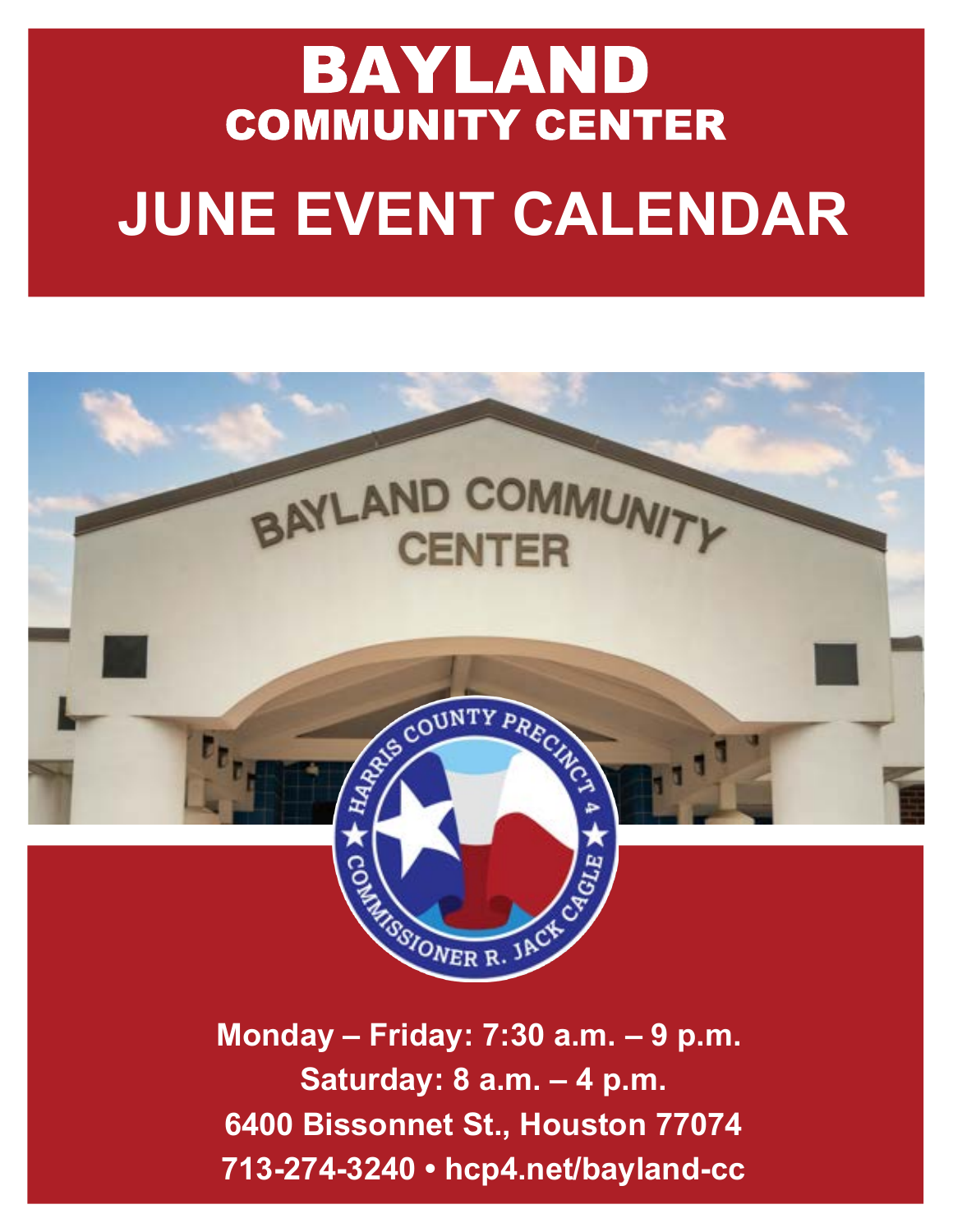# BAYLAND COMMUNITY CENTER **JUNE EVENT CALENDAR**



**Monday – Friday: 7:30 a.m. – 9 p.m. Saturday: 8 a.m. – 4 p.m. 6400 Bissonnet St., Houston 77074 713-274-3240 • hcp4.net/bayland-cc**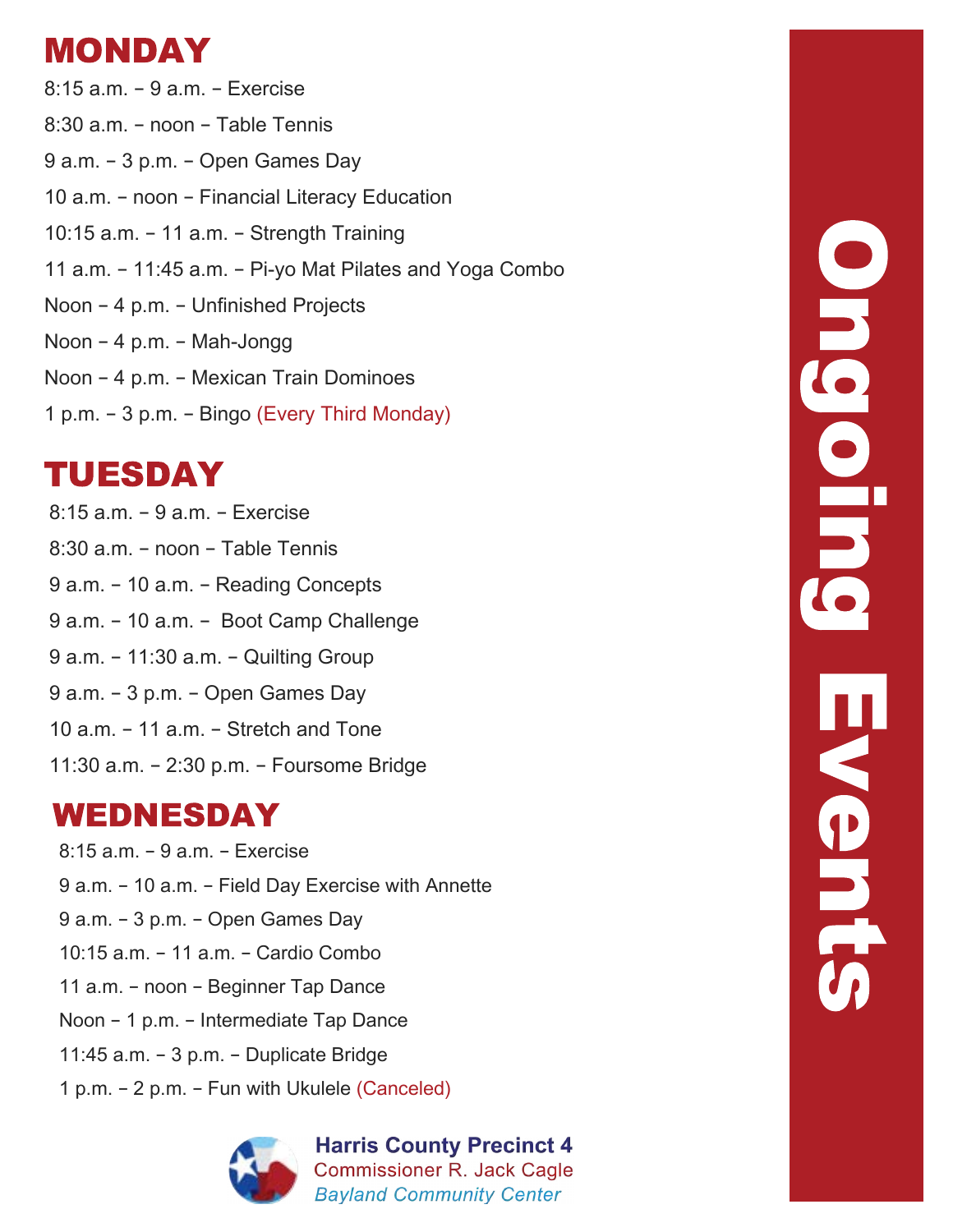# MONDAY

8:15 a.m. – 9 a.m. – Exercise 8:30 a.m. – noon – Table Tennis 9 a.m. – 3 p.m. – Open Games Day 10 a.m. – noon – Financial Literacy Education 10:15 a.m. – 11 a.m. – Strength Training 11 a.m. - 11:45 a.m. - Pi-yo Mat Pilates and Yoga Combo Noon – 4 p.m. – Unfinished Projects Noon – 4 p.m. – Mah-Jongg Noon – 4 p.m. – Mexican Train Dominoes 1 p.m. – 3 p.m. – Bingo (Every Third Monday)

# TUESDAY

8:15 a.m. – 9 a.m. – Exercise 8:30 a.m. – noon – Table Tennis 9 a.m. – 10 a.m. – Reading Concepts 9 a.m. – 10 a.m. – Boot Camp Challenge 9 a.m. – 11:30 a.m. – Quilting Group 9 a.m. – 3 p.m. – Open Games Day 10 a.m. – 11 a.m. – Stretch and Tone 11:30 a.m. – 2:30 p.m. – Foursome Bridge

#### WEDNESDAY

8:15 a.m. – 9 a.m. – Exercise 9 a.m. – 10 a.m. – Field Day Exercise with Annette 9 a.m. – 3 p.m. – Open Games Day 10:15 a.m. – 11 a.m. – Cardio Combo 11 a.m. – noon – Beginner Tap Dance Noon – 1 p.m. – Intermediate Tap Dance 11:45 a.m. – 3 p.m. – Duplicate Bridge 1 p.m. - 2 p.m. - Fun with Ukulele (Canceled)



**Harris County Precinct 4 Commissioner R. Jack Cagle Bayland Community Center**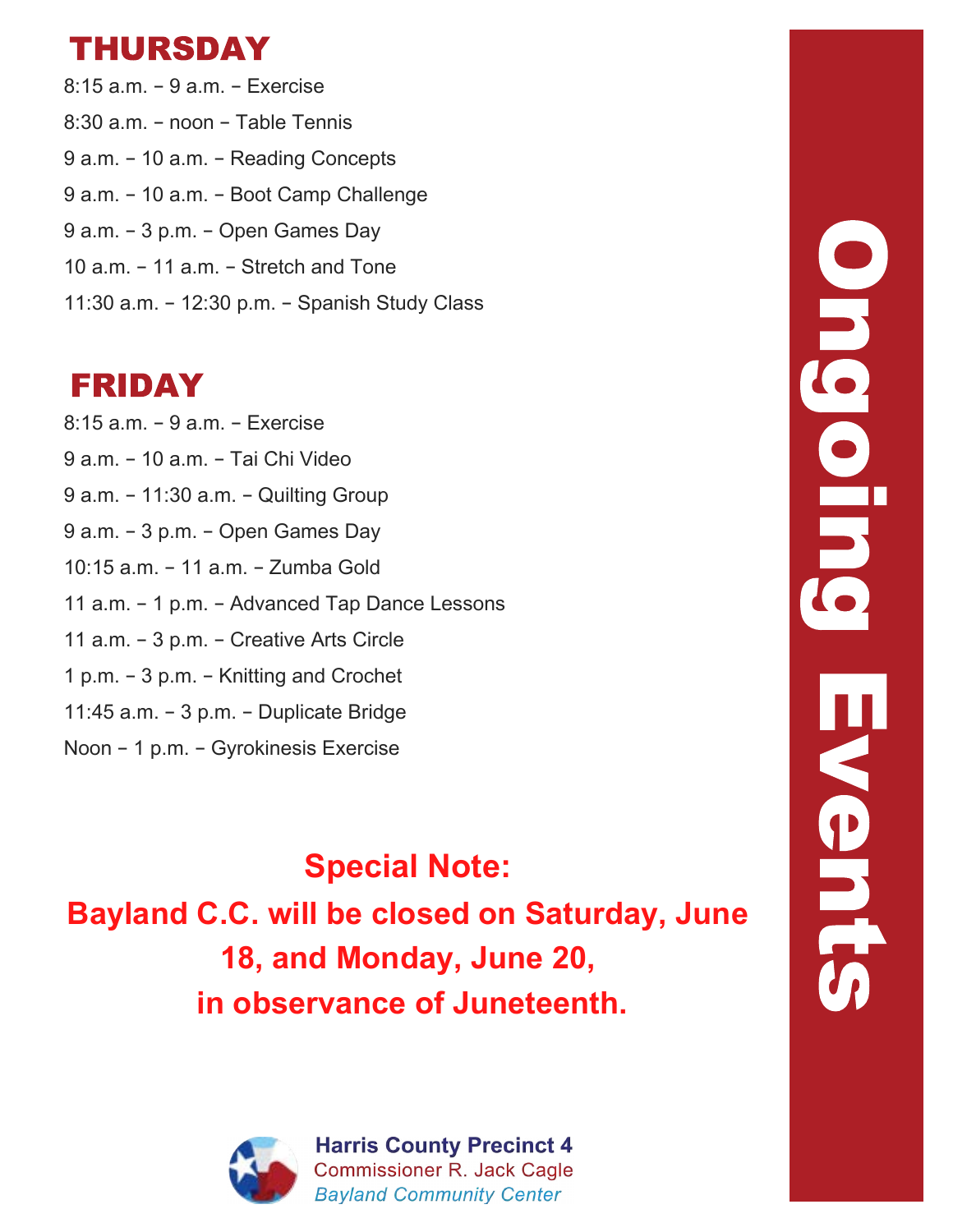### THURSDAY

8:15 a.m. – 9 a.m. – Exercise 8:30 a.m. – noon – Table Tennis 9 a.m. – 10 a.m. – Reading Concepts 9 a.m. – 10 a.m. – Boot Camp Challenge 9 a.m. – 3 p.m. – Open Games Day 10 a.m. – 11 a.m. – Stretch and Tone 11:30 a.m. – 12:30 p.m. – Spanish Study Class

### FRIDAY

8:15 a.m. – 9 a.m. – Exercise 9 a.m. – 10 a.m. – Tai Chi Video 9 a.m. – 11:30 a.m. – Quilting Group 9 a.m. – 3 p.m. – Open Games Day 10:15 a.m. – 11 a.m. – Zumba Gold 11 a.m. – 1 p.m. – Advanced Tap Dance Lessons 11 a.m. – 3 p.m. – Creative Arts Circle 1 p.m. – 3 p.m. – Knitting and Crochet 11:45 a.m. – 3 p.m. – Duplicate Bridge Noon – 1 p.m. – Gyrokinesis Exercise

**Special Note: Bayland C.C. will be closed on Saturday, June 18, and Monday, June 20, in observance of Juneteenth.**



**Harris County Precinct 4 Commissioner R. Jack Cagle Bayland Community Center**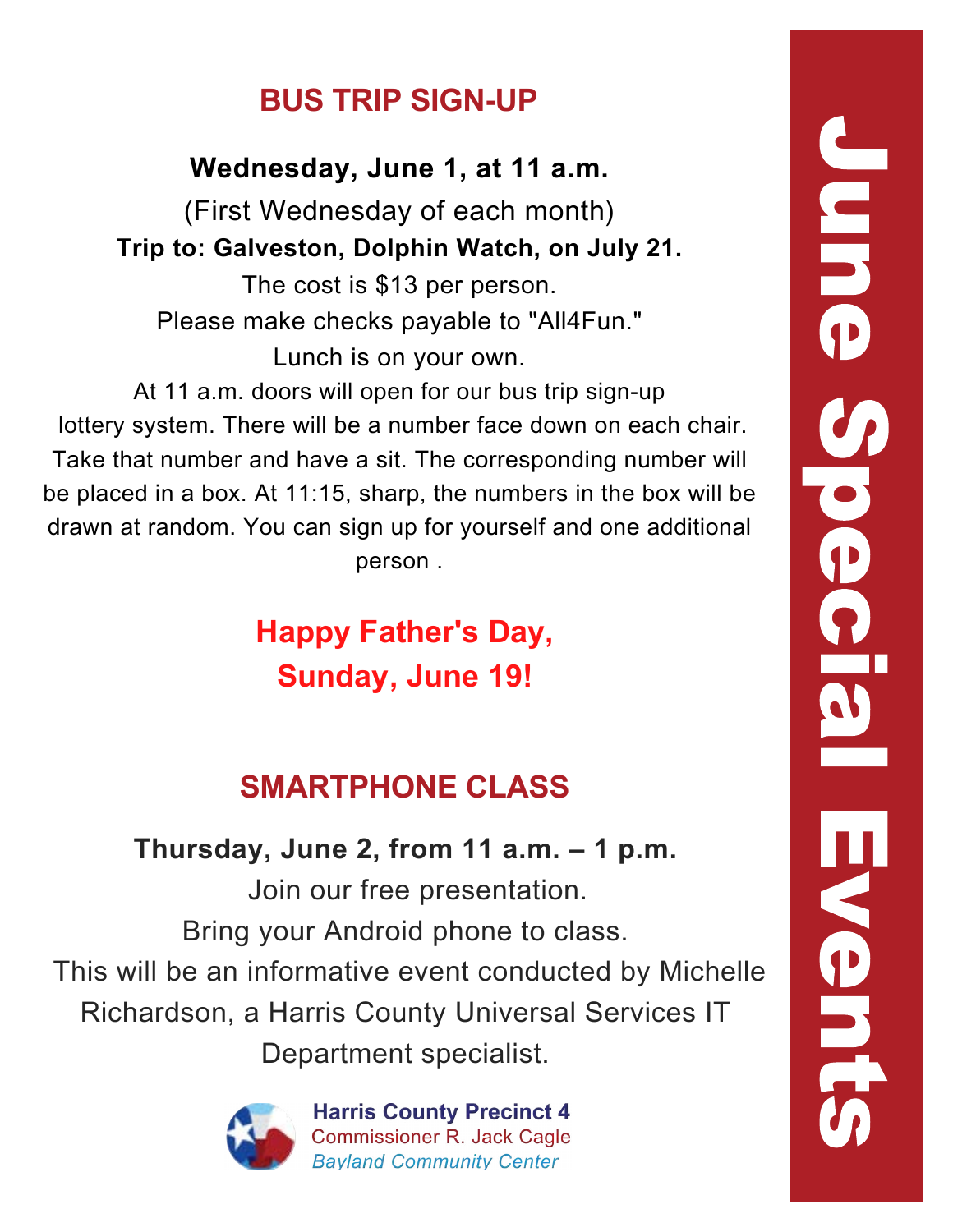## **BUS TRIP SIGN-UP**

**Wednesday, June 1, at 11 a.m.**

(First Wednesday of each month) **Trip to: Galveston, Dolphin Watch, on July 21.**

The cost is \$13 per person. Please make checks payable to "All4Fun." Lunch is on your own.

At 11 a.m. doors will open for our bus trip sign-up lottery system. There will be a number face down on each chair. Take that number and have a sit. The corresponding number will be placed in a box. At 11:15, sharp, the numbers in the box will be drawn at random. You can sign up for yourself and one additional person .

> **Happy Father's Day, Sunday, June 19!**

# **SMARTPHONE CLASS**

# **Thursday, June 2, from 11 a.m. – 1 p.m.**

 Join our free presentation. Bring your Android phone to class. This will be an informative event conducted by Michelle Richardson, a Harris County Universal Services IT Department specialist.



**Harris County Precinct 4 Commissioner R. Jack Cagle Bavland Community Center**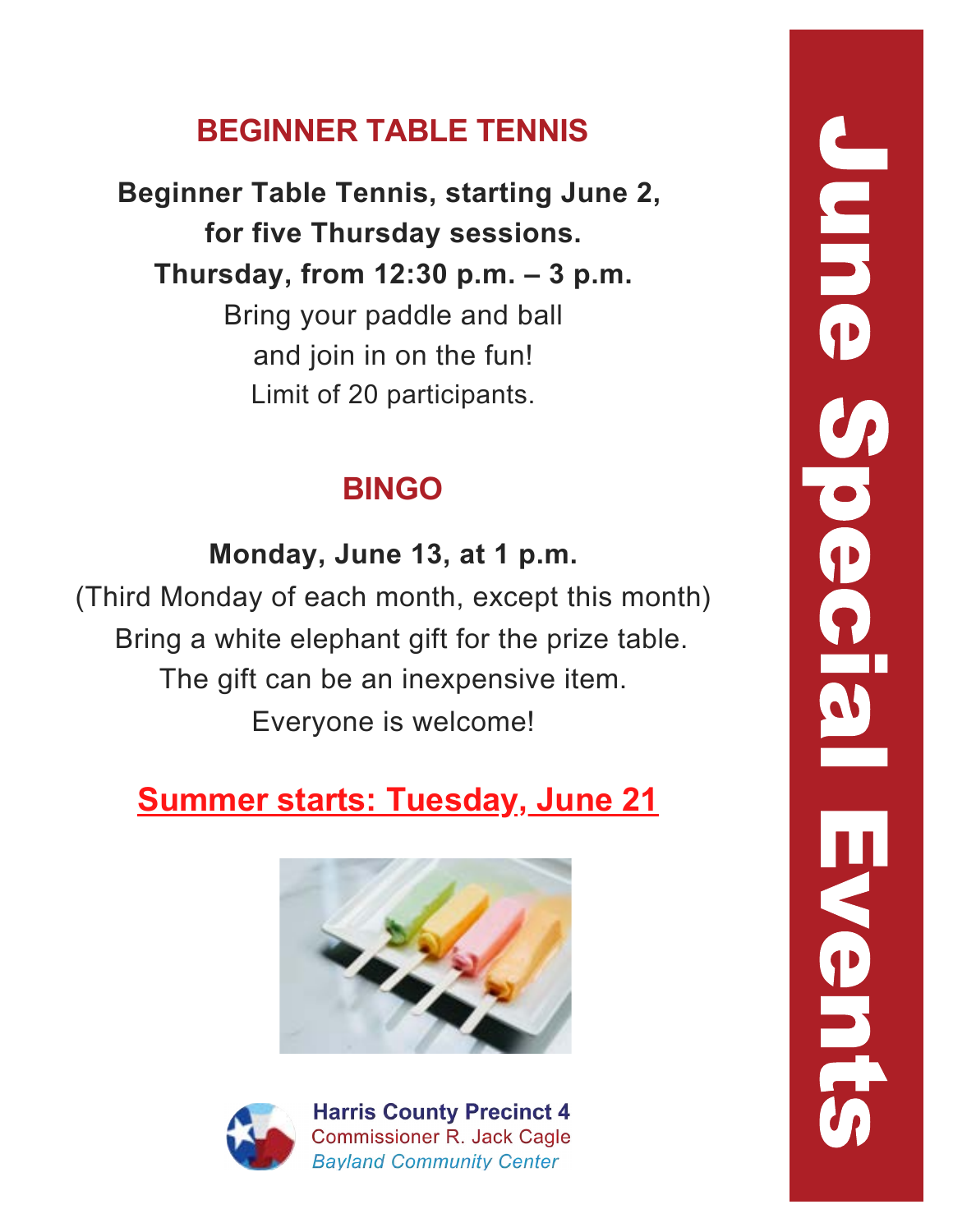## **BEGINNER TABLE TENNIS**

**Beginner Table Tennis, starting June 2, for five Thursday sessions. Thursday, from 12:30 p.m. – 3 p.m.** Bring your paddle and ball and join in on the fun! Limit of 20 participants.

## **BINGO**

**Monday, June 13, at 1 p.m.** (Third Monday of each month, except this month) Bring a white elephant gift for the prize table. The gift can be an inexpensive item. Everyone is welcome!

# **Summer starts: Tuesday, June 21**





**Harris County Precinct 4 Commissioner R. Jack Cagle Bayland Community Center**